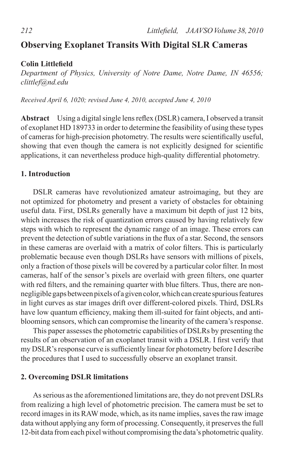# **Observing Exoplanet Transits With Digital SLR Cameras**

## **Colin Littlefield**

*Department of Physics, University of Notre Dame, Notre Dame, IN 46556; clittlef@nd.edu*

*Received April 6, 1020; revised June 4, 2010, accepted June 4, 2010*

Abstract Using a digital single lens reflex (DSLR) camera, I observed a transit of exoplanet HD 189733 in order to determine the feasibility of using these types of cameras for high-precision photometry. The results were scientifically useful, showing that even though the camera is not explicitly designed for scientific applications, it can nevertheless produce high-quality differential photometry.

## **1. Introduction**

DSLR cameras have revolutionized amateur astroimaging, but they are not optimized for photometry and present a variety of obstacles for obtaining useful data. First, DSLRs generally have a maximum bit depth of just 12 bits, which increases the risk of quantization errors caused by having relatively few steps with which to represent the dynamic range of an image. These errors can prevent the detection of subtle variations in the flux of a star. Second, the sensors in these cameras are overlaid with a matrix of color filters. This is particularly problematic because even though DSLRs have sensors with millions of pixels, only a fraction of those pixels will be covered by a particular color filter. In most cameras, half of the sensor's pixels are overlaid with green filters, one quarter with red filters, and the remaining quarter with blue filters. Thus, there are nonnegligible gaps between pixels of a given color, which can create spurious features in light curves as star images drift over different-colored pixels. Third, DSLRs have low quantum efficiency, making them ill-suited for faint objects, and antiblooming sensors, which can compromise the linearity of the camera's response.

This paper assesses the photometric capabilities of DSLRs by presenting the results of an observation of an exoplanet transit with a DSLR. I first verify that my DSLR'sresponse curve issufficiently linear for photometry before I describe the procedures that I used to successfully observe an exoplanet transit.

## **2. Overcoming DSLR limitations**

Asserious asthe aforementioned limitations are, they do not prevent DSLRs from realizing a high level of photometric precision. The camera must be set to record images in its RAW mode, which, as its name implies, saves the raw image data without applying any form of processing. Consequently, it preserves the full 12-bit data fromeach pixel without compromising the data's photometric quality.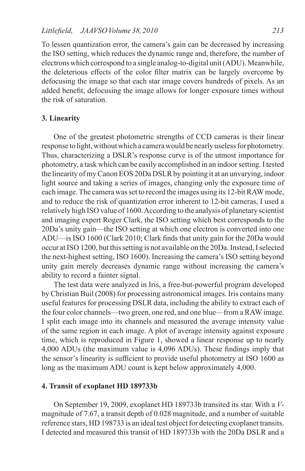To lessen quantization error, the camera's gain can be decreased by increasing the ISO setting, which reduces the dynamic range and, therefore, the number of electrons which correspond to a single analog-to-digital unit(ADU). Meanwhile, the deleterious effects of the color filter matrix can be largely overcome by defocusing the image so that each star image covers hundreds of pixels. As an added benefit, defocusing the image allows for longer exposure times without the risk of saturation.

## **3. Linearity**

One of the greatest photometric strengths of CCD cameras is their linear response to light, without which a camera would be nearly useless for photometry. Thus, characterizing a DSLR's response curve is of the utmost importance for photometry, a task which can be easily accomplished in an indoor setting. I tested the linearity of my Canon EOS 20Da DSLR by pointing it at an unvarying, indoor light source and taking a series of images, changing only the exposure time of each image.The camera wasset to record the images using its 12-bitRAWmode, and to reduce the risk of quantization error inherent to 12-bit cameras, I used a relatively high ISO value of 1600.According to the analysis of planetary scientist and imaging expert Roger Clark, the ISO setting which best corresponds to the 20Da's unity gain—the ISO setting at which one electron is converted into one ADU—is ISO 1600 (Clark 2010; Clark finds that unity gain for the 20Da would occur at ISO 1200, but this setting is not available on the 20Da. Instead, I selected the next-highest setting, ISO 1600). Increasing the camera's ISO setting beyond unity gain merely decreases dynamic range without increasing the camera's ability to record a fainter signal.

The test data were analyzed in Iris, a free-but-powerful program developed by Christian Buil (2008) for processing astronomical images. Iris contains many useful features for processing DSLR data, including the ability to extract each of the four color channels—two green, one red, and one blue—from a RAW image. I split each image into its channels and measured the average intensity value of the same region in each image. A plot of average intensity against exposure time, which is reproduced in Figure 1, showed a linear response up to nearly 4,000 ADUs (the maximum value is 4,096 ADUs). These findings imply that the sensor's linearity is sufficient to provide useful photometry at ISO 1600 as long as the maximum ADU count is kept below approximately 4,000.

## **4. Transit of exoplanet HD 189733b**

On September 19, 2009, exoplanet HD 189733b transited its star. With a *V*magnitude of 7.67, a transit depth of 0.028 magnitude, and a number of suitable reference stars, HD 198733 is an ideal test object for detecting exoplanet transits. I detected and measured this transit of HD 189733b with the 20Da DSLR and a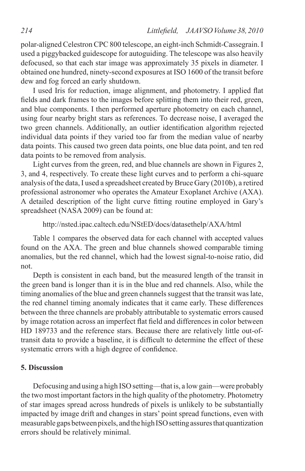polar-aligned Celestron CPC 800 telescope, an eight-inch Schmidt-Cassegrain. I used a piggybacked guidescope for autoguiding. The telescope was also heavily defocused, so that each star image was approximately 35 pixels in diameter. I obtained one hundred, ninety-second exposures at ISO 1600 of the transit before dew and fog forced an early shutdown.

I used Iris for reduction, image alignment, and photometry. I applied flat fields and dark frames to the images before splitting them into their red, green, and blue components. I then performed aperture photometry on each channel, using four nearby bright stars as references. To decrease noise, I averaged the two green channels. Additionally, an outlier identification algorithm rejected individual data points if they varied too far from the median value of nearby data points. This caused two green data points, one blue data point, and ten red data points to be removed from analysis.

Light curves from the green, red, and blue channels are shown in Figures 2, 3, and 4, respectively. To create these light curves and to perform a chi-square analysis ofthe data,I used a spreadsheet created byBruce Gary (2010b), a retired professional astronomer who operates the Amateur Exoplanet Archive (AXA). A detailed description of the light curve fitting routine employed in Gary's spreadsheet (NASA 2009) can be found at:

```
http://nsted.ipac.caltech.edu/NStED/docs/datasethelp/AXA/html
```
Table 1 compares the observed data for each channel with accepted values found on the AXA. The green and blue channels showed comparable timing anomalies, but the red channel, which had the lowest signal-to-noise ratio, did not.

Depth is consistent in each band, but the measured length of the transit in the green band is longer than it is in the blue and red channels. Also, while the timing anomalies of the blue and green channels suggest that the transit was late, the red channel timing anomaly indicates that it came early. These differences between the three channels are probably attributable to systematic errors caused by image rotation across an imperfect flat field and differences in color between HD 189733 and the reference stars. Because there are relatively little out-oftransit data to provide a baseline, it is difficult to determine the effect of these systematic errors with a high degree of confidence.

## **5. Discussion**

Defocusing and using a high ISO setting—that is, a low gain—were probably the two most important factors in the high quality of the photometry. Photometry of star images spread across hundreds of pixels is unlikely to be substantially impacted by image drift and changes in stars' point spread functions, even with measurable gaps between pixels, and the high ISO setting assures that quantization errors should be relatively minimal.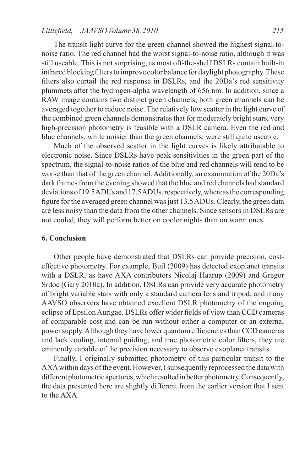## *Littlefield, JAAVSO Volume* 38, 2010 **215**

The transit light curve for the green channel showed the highest signal-tonoise ratio. The red channel had the worst signal-to-noise ratio, although it was still useable. This is not surprising, as most off-the-shelf DSLRs contain built-in infrared blocking filters to improve color balance for daylight photography. These filters also curtail the red response in DSLRs, and the 20Da's red sensitivity plummets after the hydrogen-alpha wavelength of 656 nm. In addition, since a RAW image contains two distinct green channels, both green channels can be averaged together to reduce noise. The relatively low scatter in the light curve of the combined green channels demonstrates that for moderately bright stars, very high-precision photometry is feasible with a DSLR camera. Even the red and blue channels, while noisier than the green channels, were still quite useable.

Much of the observed scatter in the light curves is likely attributable to electronic noise. Since DSLRs have peak sensitivities in the green part of the spectrum, the signal-to-noise ratios of the blue and red channels will tend to be worse than that of the green channel. Additionally, an examination of the 20Da's dark frames from the evening showed that the blue and red channels had standard deviations of 19.5 ADUs and 17.5 ADUs, respectively, whereas the corresponding figure forthe averaged green channel wasjust 13.5ADUs.Clearly, the green data are less noisy than the data from the other channels. Since sensors in DSLRs are not cooled, they will perform better on cooler nights than on warm ones.

## **6. Conclusion**

Other people have demonstrated that DSLRs can provide precision, costeffective photometry. For example, Buil (2009) has detected exoplanet transits with a DSLR, as have AXA contributors Nicolaj Haarup (2009) and Gregor Srdoc (Gary 2010a). In addition, DSLRs can provide very accurate photometry of bright variable stars with only a standard camera lens and tripod, and many AAVSO observers have obtained excellent DSLR photometry of the ongoing eclipse of EpsilonAurigae. DSLRs offer wider fields of view than CCD cameras of comparable cost and can be run without either a computer or an external power supply. Although they have lower quantum efficiencies than CCD cameras and lack cooling, internal guiding, and true photometric color filters, they are eminently capable of the precision necessary to observe exoplanet transits.

Finally, I originally submitted photometry of this particular transit to the AXA within days of the event. However, I subsequently reprocessed the data with different photometric apertures, which resulted in better photometry. Consequently, the data presented here are slightly different from the earlier version that I sent to the AXA.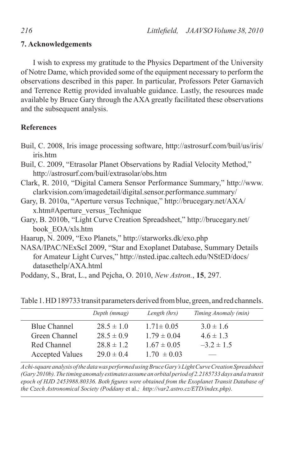## **7. Acknowledgements**

I wish to express my gratitude to the Physics Department of the University of Notre Dame, which provided some of the equipment necessary to perform the observations described in this paper. In particular, Professors Peter Garnavich and Terrence Rettig provided invaluable guidance. Lastly, the resources made available by Bruce Gary through the AXA greatly facilitated these observations and the subsequent analysis.

## **References**

|          |  | Buil, C. 2008, Iris image processing software, http://astrosurf.com/buil/us/iris/ |  |
|----------|--|-----------------------------------------------------------------------------------|--|
| iris.htm |  |                                                                                   |  |

Buil, C. 2009, "Etrasolar Planet Observations by Radial Velocity Method," http://astrosurf.com/buil/extrasolar/obs.htm

- Clark, R. 2010, "Digital Camera Sensor Performance Summary," http://www. clarkvision.com/imagedetail/digital.sensor.performance.summary/
- Gary, B. 2010a, "Aperture versus Technique," http://brucegary.net/AXA/ x.htm#Aperture\_versus\_Technique
- Gary, B. 2010b, "Light Curve Creation Spreadsheet," http://brucegary.net/ book\_EOA/xls.htm

Haarup, N. 2009, "Exo Planets," http://starworks.dk/exo.php

- NASA/IPAC/NExScI 2009, "Star and Exoplanet Database, Summary Details for Amateur Light Curves," http://nsted.ipac.caltech.edu/NStED/docs/ datasethelp/AXA.html
- Poddany, S., Brat, L., and Pejcha, O. 2010, *New Astron.*, **15**, 297.

|                        | Depth (mmag)   | Length (hrs)    | Timing Anomaly (min) |
|------------------------|----------------|-----------------|----------------------|
| Blue Channel           | $28.5 \pm 1.0$ | $1.71 \pm 0.05$ | $3.0 \pm 1.6$        |
| Green Channel          | $28.5 \pm 0.9$ | $179 \pm 0.04$  | $4.6 \pm 1.3$        |
| Red Channel            | $28.8 \pm 1.2$ | $1.67 \pm 0.05$ | $-3.2 \pm 1.5$       |
| <b>Accepted Values</b> | $29.0 \pm 0.4$ | $1.70 \pm 0.03$ |                      |

Table 1. HD189733 transit parameters derived from blue, green, and red channels.

*Achi-squareanalysisofthedatawasperformedusingBruceGary'sLightCurveCreationSpreadsheet (Gary 2010b).The timing anomaly estimates assume an orbital period of 2.2185733 days and a transit epoch of HJD 2453988.80336. Both figures were obtained from the Exoplanet Transit Database of the Czech Astronomical Society (Poddany* et al.*; http://var2.astro.cz/ETD/index.php).*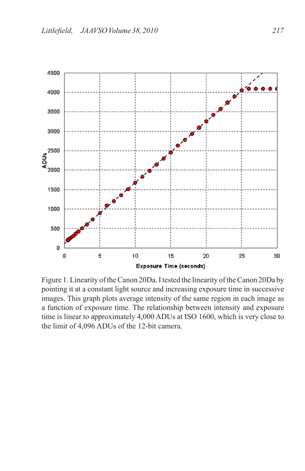

Figure 1. Linearity of the Canon 20Da. I tested the linearity of the Canon 20Da by pointing it at a constant light source and increasing exposure time in successive images. This graph plots average intensity of the same region in each image as a function of exposure time. The relationship between intensity and exposure time is linear to approximately 4,000 ADUs at ISO 1600, which is very close to the limit of 4,096 ADUs of the 12-bit camera.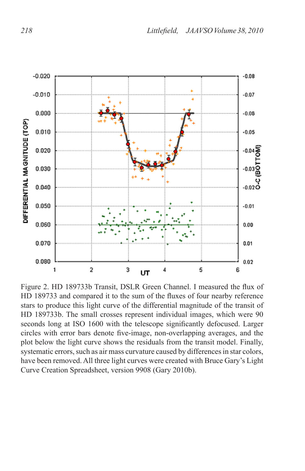

Figure 2. HD 189733b Transit, DSLR Green Channel. I measured the flux of HD 189733 and compared it to the sum of the fluxes of four nearby reference stars to produce this light curve of the differential magnitude of the transit of HD 189733b. The small crosses represent individual images, which were 90 seconds long at ISO 1600 with the telescope significantly defocused. Larger circles with error bars denote five-image, non-overlapping averages, and the plot below the light curve shows the residuals from the transit model. Finally, systematic errors, such as air mass curvature caused by differences in star colors, have been removed. All three light curves were created with Bruce Gary's Light Curve Creation Spreadsheet, version 9908 (Gary 2010b).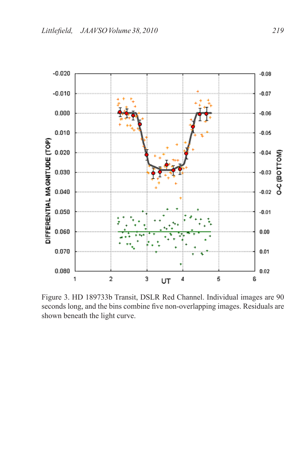

Figure 3. HD 189733b Transit, DSLR Red Channel. Individual images are 90 seconds long, and the bins combine five non-overlapping images. Residuals are shown beneath the light curve.